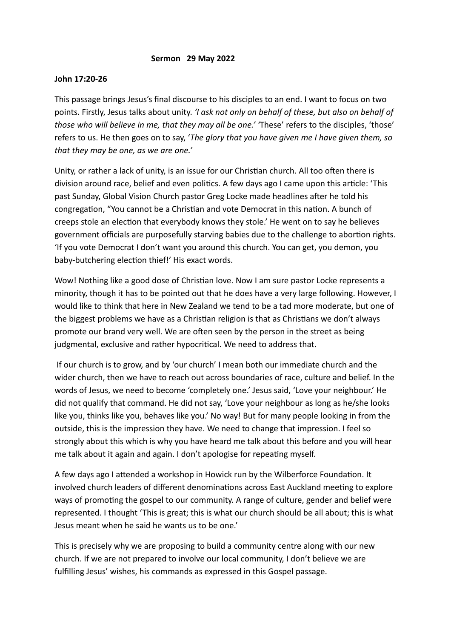## **Sermon 29 May 2022**

## **John 17:20-26**

This passage brings Jesus's final discourse to his disciples to an end. I want to focus on two points. Firstly, Jesus talks about unity. *'I ask not only on behalf of these, but also on behalf of those who will believe in me, that they may all be one.' '*These' refers to the disciples, 'those' refers to us. He then goes on to say, '*The glory that you have given me I have given them, so that they may be one, as we are one.'*

Unity, or rather a lack of unity, is an issue for our Christian church. All too often there is division around race, belief and even politics. A few days ago I came upon this article: 'This past Sunday, Global Vision Church pastor Greg Locke made headlines after he told his congregation, "You cannot be a Christian and vote Democrat in this nation. A bunch of creeps stole an election that everybody knows they stole.' He went on to say he believes government officials are purposefully starving babies due to the challenge to abortion rights. 'If you vote Democrat I don't want you around this church. You can get, you demon, you baby-butchering election thief!' His exact words.

Wow! Nothing like a good dose of Christian love. Now I am sure pastor Locke represents a minority, though it has to be pointed out that he does have a very large following. However, I would like to think that here in New Zealand we tend to be a tad more moderate, but one of the biggest problems we have as a Christian religion is that as Christians we don't always promote our brand very well. We are often seen by the person in the street as being judgmental, exclusive and rather hypocritical. We need to address that.

 If our church is to grow, and by 'our church' I mean both our immediate church and the wider church, then we have to reach out across boundaries of race, culture and belief. In the words of Jesus, we need to become 'completely one.' Jesus said, 'Love your neighbour.' He did not qualify that command. He did not say, 'Love your neighbour as long as he/she looks like you, thinks like you, behaves like you.' No way! But for many people looking in from the outside, this is the impression they have. We need to change that impression. I feel so strongly about this which is why you have heard me talk about this before and you will hear me talk about it again and again. I don't apologise for repeating myself.

A few days ago I attended a workshop in Howick run by the Wilberforce Foundation. It involved church leaders of different denominations across East Auckland meeting to explore ways of promoting the gospel to our community. A range of culture, gender and belief were represented. I thought 'This is great; this is what our church should be all about; this is what Jesus meant when he said he wants us to be one.'

This is precisely why we are proposing to build a community centre along with our new church. If we are not prepared to involve our local community, I don't believe we are fulfilling Jesus' wishes, his commands as expressed in this Gospel passage.